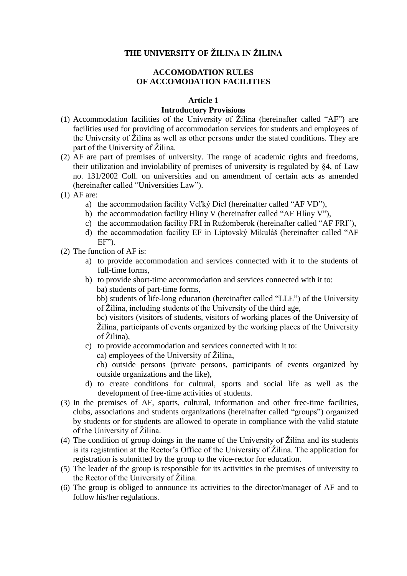# **THE UNIVERSITY OF ŽILINA IN ŽILINA**

# **ACCOMODATION RULES OF ACCOMODATION FACILITIES**

### **Article 1**

# **Introductory Provisions**

- (1) Accommodation facilities of the University of Žilina (hereinafter called "AF") are facilities used for providing of accommodation services for students and employees of the University of Žilina as well as other persons under the stated conditions. They are part of the University of Žilina.
- (2) AF are part of premises of university. The range of academic rights and freedoms, their utilization and inviolability of premises of university is regulated by §4, of Law no. 131/2002 Coll. on universities and on amendment of certain acts as amended (hereinafter called "Universities Law").
- (1) AF are:
	- a) the accommodation facility Veľký Diel (hereinafter called "AF VD"),
	- b) the accommodation facility Hliny V (hereinafter called "AF Hliny V"),
	- c) the accommodation facility FRI in Ružomberok (hereinafter called "AF FRI"),
	- d) the accommodation facility EF in Liptovský Mikuláš (hereinafter called "AF EF").
- (2) The function of AF is:
	- a) to provide accommodation and services connected with it to the students of full-time forms,
	- b) to provide short-time accommodation and services connected with it to: ba) students of part-time forms,

bb) students of life-long education (hereinafter called "LLE") of the University of Žilina, including students of the University of the third age,

bc) visitors (visitors of students, visitors of working places of the University of Žilina, participants of events organized by the working places of the University of Žilina),

- c) to provide accommodation and services connected with it to:
	- ca) employees of the University of Žilina,

cb) outside persons (private persons, participants of events organized by outside organizations and the like),

- d) to create conditions for cultural, sports and social life as well as the development of free-time activities of students.
- (3) In the premises of AF, sports, cultural, information and other free-time facilities, clubs, associations and students organizations (hereinafter called "groups") organized by students or for students are allowed to operate in compliance with the valid statute of the University of Žilina.
- (4) The condition of group doings in the name of the University of Žilina and its students is its registration at the Rector's Office of the University of Žilina. The application for registration is submitted by the group to the vice-rector for education.
- (5) The leader of the group is responsible for its activities in the premises of university to the Rector of the University of Žilina.
- (6) The group is obliged to announce its activities to the director/manager of AF and to follow his/her regulations.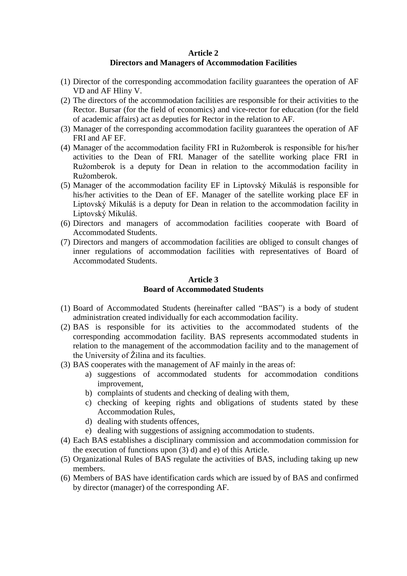## **Article 2**

# **Directors and Managers of Accommodation Facilities**

- (1) Director of the corresponding accommodation facility guarantees the operation of AF VD and AF Hliny V.
- (2) The directors of the accommodation facilities are responsible for their activities to the Rector. Bursar (for the field of economics) and vice-rector for education (for the field of academic affairs) act as deputies for Rector in the relation to AF.
- (3) Manager of the corresponding accommodation facility guarantees the operation of AF FRI and AF EF.
- (4) Manager of the accommodation facility FRI in Ružomberok is responsible for his/her activities to the Dean of FRI. Manager of the satellite working place FRI in Ružomberok is a deputy for Dean in relation to the accommodation facility in Ružomberok.
- (5) Manager of the accommodation facility EF in Liptovský Mikuláš is responsible for his/her activities to the Dean of EF. Manager of the satellite working place EF in Liptovský Mikuláš is a deputy for Dean in relation to the accommodation facility in Liptovský Mikuláš.
- (6) Directors and managers of accommodation facilities cooperate with Board of Accommodated Students.
- (7) Directors and mangers of accommodation facilities are obliged to consult changes of inner regulations of accommodation facilities with representatives of Board of Accommodated Students.

## **Article 3 Board of Accommodated Students**

- (1) Board of Accommodated Students (hereinafter called "BAS") is a body of student administration created individually for each accommodation facility.
- (2) BAS is responsible for its activities to the accommodated students of the corresponding accommodation facility. BAS represents accommodated students in relation to the management of the accommodation facility and to the management of the University of Žilina and its faculties.
- (3) BAS cooperates with the management of AF mainly in the areas of:
	- a) suggestions of accommodated students for accommodation conditions improvement,
	- b) complaints of students and checking of dealing with them,
	- c) checking of keeping rights and obligations of students stated by these Accommodation Rules,
	- d) dealing with students offences,
	- e) dealing with suggestions of assigning accommodation to students.
- (4) Each BAS establishes a disciplinary commission and accommodation commission for the execution of functions upon (3) d) and e) of this Article.
- (5) Organizational Rules of BAS regulate the activities of BAS, including taking up new members.
- (6) Members of BAS have identification cards which are issued by of BAS and confirmed by director (manager) of the corresponding AF.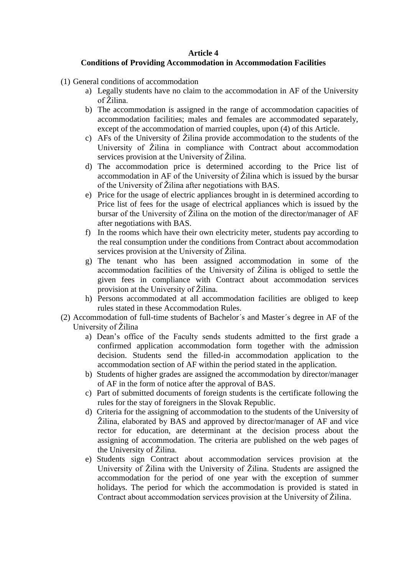### **Article 4**

### **Conditions of Providing Accommodation in Accommodation Facilities**

- (1) General conditions of accommodation
	- a) Legally students have no claim to the accommodation in AF of the University of Žilina.
	- b) The accommodation is assigned in the range of accommodation capacities of accommodation facilities; males and females are accommodated separately, except of the accommodation of married couples, upon (4) of this Article.
	- c) AFs of the University of Žilina provide accommodation to the students of the University of Žilina in compliance with Contract about accommodation services provision at the University of Žilina.
	- d) The accommodation price is determined according to the Price list of accommodation in AF of the University of Žilina which is issued by the bursar of the University of Žilina after negotiations with BAS.
	- e) Price for the usage of electric appliances brought in is determined according to Price list of fees for the usage of electrical appliances which is issued by the bursar of the University of Žilina on the motion of the director/manager of AF after negotiations with BAS.
	- f) In the rooms which have their own electricity meter, students pay according to the real consumption under the conditions from Contract about accommodation services provision at the University of Žilina.
	- g) The tenant who has been assigned accommodation in some of the accommodation facilities of the University of Žilina is obliged to settle the given fees in compliance with Contract about accommodation services provision at the University of Žilina.
	- h) Persons accommodated at all accommodation facilities are obliged to keep rules stated in these Accommodation Rules.
- (2) Accommodation of full-time students of Bachelor´s and Master´s degree in AF of the University of Žilina
	- a) Dean's office of the Faculty sends students admitted to the first grade a confirmed application accommodation form together with the admission decision. Students send the filled-in accommodation application to the accommodation section of AF within the period stated in the application.
	- b) Students of higher grades are assigned the accommodation by director/manager of AF in the form of notice after the approval of BAS.
	- c) Part of submitted documents of foreign students is the certificate following the rules for the stay of foreigners in the Slovak Republic.
	- d) Criteria for the assigning of accommodation to the students of the University of Žilina, elaborated by BAS and approved by director/manager of AF and vice rector for education, are determinant at the decision process about the assigning of accommodation. The criteria are published on the web pages of the University of Žilina.
	- e) Students sign Contract about accommodation services provision at the University of Žilina with the University of Žilina. Students are assigned the accommodation for the period of one year with the exception of summer holidays. The period for which the accommodation is provided is stated in Contract about accommodation services provision at the University of Žilina.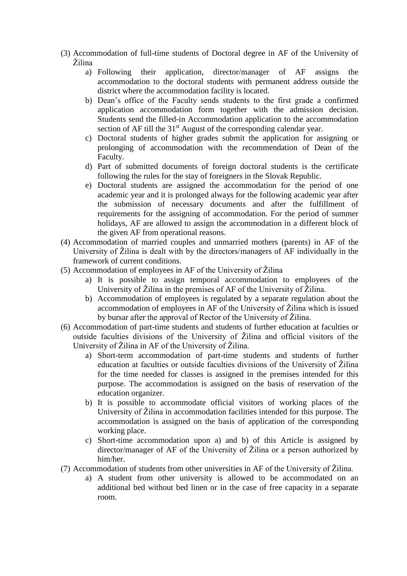- (3) Accommodation of full-time students of Doctoral degree in AF of the University of Žilina
	- a) Following their application, director/manager of AF assigns the accommodation to the doctoral students with permanent address outside the district where the accommodation facility is located.
	- b) Dean's office of the Faculty sends students to the first grade a confirmed application accommodation form together with the admission decision. Students send the filled-in Accommodation application to the accommodation section of AF till the 31<sup>st</sup> August of the corresponding calendar year.
	- c) Doctoral students of higher grades submit the application for assigning or prolonging of accommodation with the recommendation of Dean of the Faculty.
	- d) Part of submitted documents of foreign doctoral students is the certificate following the rules for the stay of foreigners in the Slovak Republic.
	- e) Doctoral students are assigned the accommodation for the period of one academic year and it is prolonged always for the following academic year after the submission of necessary documents and after the fulfillment of requirements for the assigning of accommodation. For the period of summer holidays, AF are allowed to assign the accommodation in a different block of the given AF from operational reasons.
- (4) Accommodation of married couples and unmarried mothers (parents) in AF of the University of Žilina is dealt with by the directors/managers of AF individually in the framework of current conditions.
- (5) Accommodation of employees in AF of the University of Žilina
	- a) It is possible to assign temporal accommodation to employees of the University of Žilina in the premises of AF of the University of Žilina.
	- b) Accommodation of employees is regulated by a separate regulation about the accommodation of employees in AF of the University of Žilina which is issued by bursar after the approval of Rector of the University of Žilina.
- (6) Accommodation of part-time students and students of further education at faculties or outside faculties divisions of the University of Žilina and official visitors of the University of Žilina in AF of the University of Žilina.
	- a) Short-term accommodation of part-time students and students of further education at faculties or outside faculties divisions of the University of Žilina for the time needed for classes is assigned in the premises intended for this purpose. The accommodation is assigned on the basis of reservation of the education organizer.
	- b) It is possible to accommodate official visitors of working places of the University of Žilina in accommodation facilities intended for this purpose. The accommodation is assigned on the basis of application of the corresponding working place.
	- c) Short-time accommodation upon a) and b) of this Article is assigned by director/manager of AF of the University of Žilina or a person authorized by him/her.
- (7) Accommodation of students from other universities in AF of the University of Žilina.
	- a) A student from other university is allowed to be accommodated on an additional bed without bed linen or in the case of free capacity in a separate room.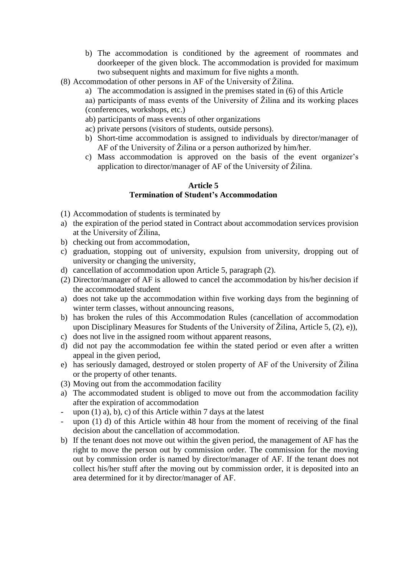- b) The accommodation is conditioned by the agreement of roommates and doorkeeper of the given block. The accommodation is provided for maximum two subsequent nights and maximum for five nights a month.
- (8) Accommodation of other persons in AF of the University of Žilina.
	- a) The accommodation is assigned in the premises stated in (6) of this Article
		- aa) participants of mass events of the University of Žilina and its working places (conferences, workshops, etc.)
		- ab) participants of mass events of other organizations
		- ac) private persons (visitors of students, outside persons).
		- b) Short-time accommodation is assigned to individuals by director/manager of AF of the University of Žilina or a person authorized by him/her.
		- c) Mass accommodation is approved on the basis of the event organizer's application to director/manager of AF of the University of Žilina.

## **Article 5 Termination of Student's Accommodation**

- (1) Accommodation of students is terminated by
- a) the expiration of the period stated in Contract about accommodation services provision at the University of Žilina,
- b) checking out from accommodation,
- c) graduation, stopping out of university, expulsion from university, dropping out of university or changing the university,
- d) cancellation of accommodation upon Article 5, paragraph (2).
- (2) Director/manager of AF is allowed to cancel the accommodation by his/her decision if the accommodated student
- a) does not take up the accommodation within five working days from the beginning of winter term classes, without announcing reasons,
- b) has broken the rules of this Accommodation Rules (cancellation of accommodation upon Disciplinary Measures for Students of the University of Žilina, Article 5,  $(2)$ , e)),
- c) does not live in the assigned room without apparent reasons,
- d) did not pay the accommodation fee within the stated period or even after a written appeal in the given period,
- e) has seriously damaged, destroyed or stolen property of AF of the University of Žilina or the property of other tenants.
- (3) Moving out from the accommodation facility
- a) The accommodated student is obliged to move out from the accommodation facility after the expiration of accommodation
- upon  $(1)$  a), b), c) of this Article within 7 days at the latest
- upon  $(1)$  d) of this Article within 48 hour from the moment of receiving of the final decision about the cancellation of accommodation.
- b) If the tenant does not move out within the given period, the management of AF has the right to move the person out by commission order. The commission for the moving out by commission order is named by director/manager of AF. If the tenant does not collect his/her stuff after the moving out by commission order, it is deposited into an area determined for it by director/manager of AF.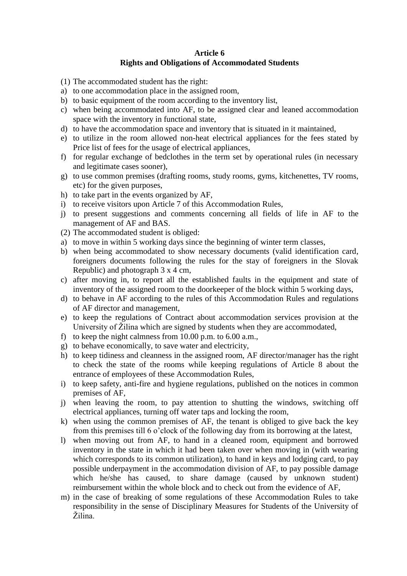# **Article 6 Rights and Obligations of Accommodated Students**

- (1) The accommodated student has the right:
- a) to one accommodation place in the assigned room,
- b) to basic equipment of the room according to the inventory list,
- c) when being accommodated into AF, to be assigned clear and leaned accommodation space with the inventory in functional state,
- d) to have the accommodation space and inventory that is situated in it maintained,
- e) to utilize in the room allowed non-heat electrical appliances for the fees stated by Price list of fees for the usage of electrical appliances,
- f) for regular exchange of bedclothes in the term set by operational rules (in necessary and legitimate cases sooner),
- g) to use common premises (drafting rooms, study rooms, gyms, kitchenettes, TV rooms, etc) for the given purposes,
- h) to take part in the events organized by AF,
- i) to receive visitors upon Article 7 of this Accommodation Rules,
- j) to present suggestions and comments concerning all fields of life in AF to the management of AF and BAS.
- (2) The accommodated student is obliged:
- a) to move in within 5 working days since the beginning of winter term classes,
- b) when being accommodated to show necessary documents (valid identification card, foreigners documents following the rules for the stay of foreigners in the Slovak Republic) and photograph 3 x 4 cm,
- c) after moving in, to report all the established faults in the equipment and state of inventory of the assigned room to the doorkeeper of the block within 5 working days,
- d) to behave in AF according to the rules of this Accommodation Rules and regulations of AF director and management,
- e) to keep the regulations of Contract about accommodation services provision at the University of Žilina which are signed by students when they are accommodated,
- f) to keep the night calmness from 10.00 p.m. to 6.00 a.m.,
- g) to behave economically, to save water and electricity,
- h) to keep tidiness and cleanness in the assigned room, AF director/manager has the right to check the state of the rooms while keeping regulations of Article 8 about the entrance of employees of these Accommodation Rules,
- i) to keep safety, anti-fire and hygiene regulations, published on the notices in common premises of AF,
- j) when leaving the room, to pay attention to shutting the windows, switching off electrical appliances, turning off water taps and locking the room,
- k) when using the common premises of AF, the tenant is obliged to give back the key from this premises till 6 o'clock of the following day from its borrowing at the latest,
- l) when moving out from AF, to hand in a cleaned room, equipment and borrowed inventory in the state in which it had been taken over when moving in (with wearing which corresponds to its common utilization), to hand in keys and lodging card, to pay possible underpayment in the accommodation division of AF, to pay possible damage which he/she has caused, to share damage (caused by unknown student) reimbursement within the whole block and to check out from the evidence of AF,
- m) in the case of breaking of some regulations of these Accommodation Rules to take responsibility in the sense of Disciplinary Measures for Students of the University of Žilina.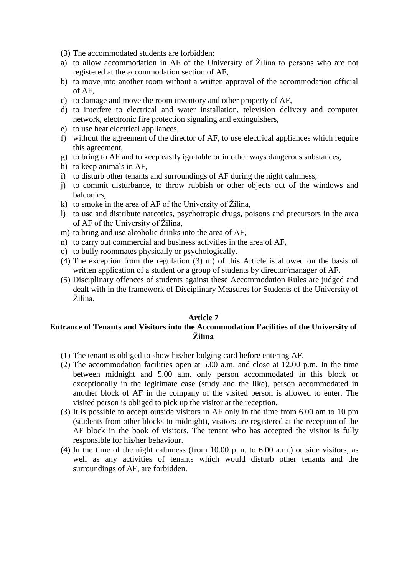(3) The accommodated students are forbidden:

- a) to allow accommodation in AF of the University of Žilina to persons who are not registered at the accommodation section of AF,
- b) to move into another room without a written approval of the accommodation official of AF,
- c) to damage and move the room inventory and other property of AF,
- d) to interfere to electrical and water installation, television delivery and computer network, electronic fire protection signaling and extinguishers,
- e) to use heat electrical appliances,
- f) without the agreement of the director of AF, to use electrical appliances which require this agreement,
- g) to bring to AF and to keep easily ignitable or in other ways dangerous substances,
- h) to keep animals in AF,
- i) to disturb other tenants and surroundings of AF during the night calmness,
- j) to commit disturbance, to throw rubbish or other objects out of the windows and balconies,
- k) to smoke in the area of AF of the University of Žilina,
- l) to use and distribute narcotics, psychotropic drugs, poisons and precursors in the area of AF of the University of Žilina,
- m) to bring and use alcoholic drinks into the area of AF,
- n) to carry out commercial and business activities in the area of AF,
- o) to bully roommates physically or psychologically.
- (4) The exception from the regulation (3) m) of this Article is allowed on the basis of written application of a student or a group of students by director/manager of AF.
- (5) Disciplinary offences of students against these Accommodation Rules are judged and dealt with in the framework of Disciplinary Measures for Students of the University of Žilina.

### **Article 7**

# **Entrance of Tenants and Visitors into the Accommodation Facilities of the University of Žilina**

- (1) The tenant is obliged to show his/her lodging card before entering AF.
- (2) The accommodation facilities open at 5.00 a.m. and close at 12.00 p.m. In the time between midnight and 5.00 a.m. only person accommodated in this block or exceptionally in the legitimate case (study and the like), person accommodated in another block of AF in the company of the visited person is allowed to enter. The visited person is obliged to pick up the visitor at the reception.
- (3) It is possible to accept outside visitors in AF only in the time from 6.00 am to 10 pm (students from other blocks to midnight), visitors are registered at the reception of the AF block in the book of visitors. The tenant who has accepted the visitor is fully responsible for his/her behaviour.
- (4) In the time of the night calmness (from 10.00 p.m. to 6.00 a.m.) outside visitors, as well as any activities of tenants which would disturb other tenants and the surroundings of AF, are forbidden.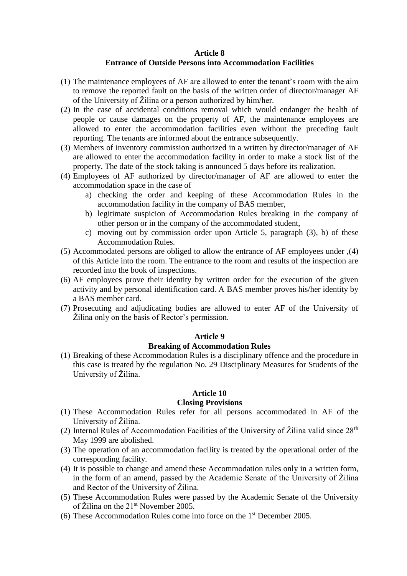#### **Article 8**

### **Entrance of Outside Persons into Accommodation Facilities**

- (1) The maintenance employees of AF are allowed to enter the tenant's room with the aim to remove the reported fault on the basis of the written order of director/manager AF of the University of Žilina or a person authorized by him/her.
- (2) In the case of accidental conditions removal which would endanger the health of people or cause damages on the property of AF, the maintenance employees are allowed to enter the accommodation facilities even without the preceding fault reporting. The tenants are informed about the entrance subsequently.
- (3) Members of inventory commission authorized in a written by director/manager of AF are allowed to enter the accommodation facility in order to make a stock list of the property. The date of the stock taking is announced 5 days before its realization.
- (4) Employees of AF authorized by director/manager of AF are allowed to enter the accommodation space in the case of
	- a) checking the order and keeping of these Accommodation Rules in the accommodation facility in the company of BAS member,
	- b) legitimate suspicion of Accommodation Rules breaking in the company of other person or in the company of the accommodated student,
	- c) moving out by commission order upon Article 5, paragraph (3), b) of these Accommodation Rules.
- (5) Accommodated persons are obliged to allow the entrance of AF employees under ,(4) of this Article into the room. The entrance to the room and results of the inspection are recorded into the book of inspections.
- (6) AF employees prove their identity by written order for the execution of the given activity and by personal identification card. A BAS member proves his/her identity by a BAS member card.
- (7) Prosecuting and adjudicating bodies are allowed to enter AF of the University of Žilina only on the basis of Rector's permission.

#### **Article 9**

#### **Breaking of Accommodation Rules**

(1) Breaking of these Accommodation Rules is a disciplinary offence and the procedure in this case is treated by the regulation No. 29 Disciplinary Measures for Students of the University of Žilina.

#### **Article 10**

#### **Closing Provisions**

- (1) These Accommodation Rules refer for all persons accommodated in AF of the University of Žilina.
- (2) Internal Rules of Accommodation Facilities of the University of Žilina valid since  $28<sup>th</sup>$ May 1999 are abolished.
- (3) The operation of an accommodation facility is treated by the operational order of the corresponding facility.
- (4) It is possible to change and amend these Accommodation rules only in a written form, in the form of an amend, passed by the Academic Senate of the University of Žilina and Rector of the University of Žilina.
- (5) These Accommodation Rules were passed by the Academic Senate of the University of Žilina on the 21<sup>st</sup> November 2005.
- (6) These Accommodation Rules come into force on the 1st December 2005.